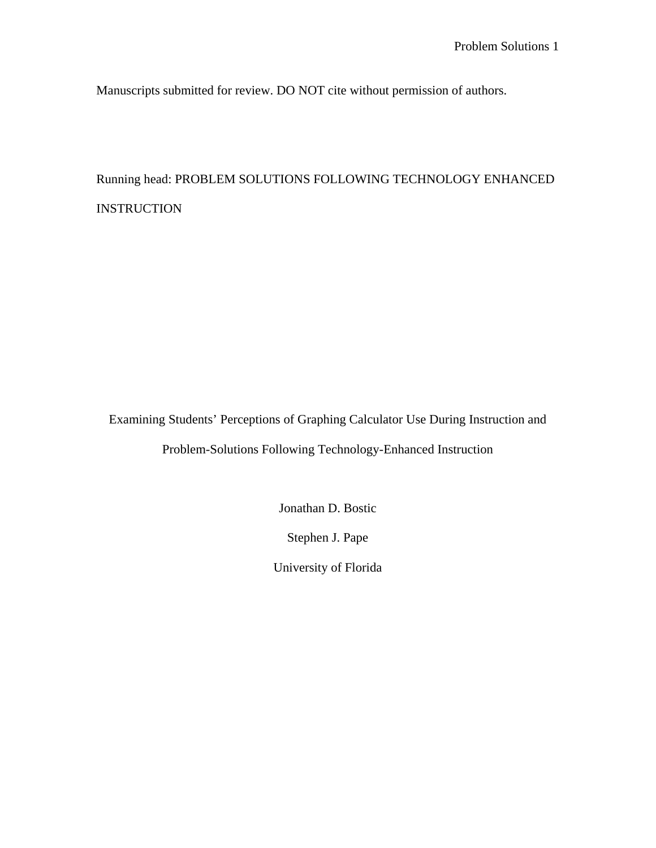Manuscripts submitted for review. DO NOT cite without permission of authors.

# Running head: PROBLEM SOLUTIONS FOLLOWING TECHNOLOGY ENHANCED INSTRUCTION

Examining Students' Perceptions of Graphing Calculator Use During Instruction and

Problem-Solutions Following Technology-Enhanced Instruction

Jonathan D. Bostic

Stephen J. Pape

University of Florida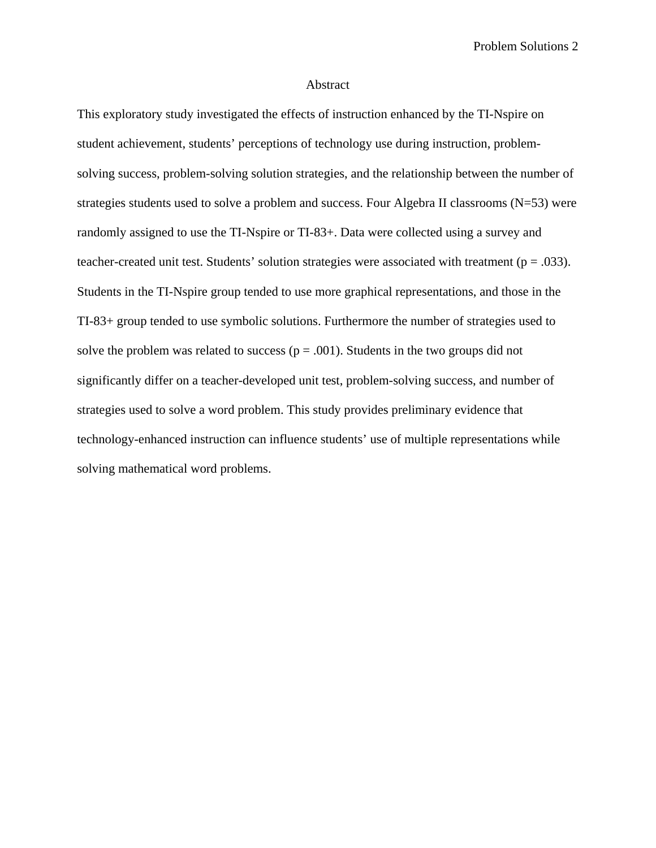Problem Solutions 2

## Abstract

This exploratory study investigated the effects of instruction enhanced by the TI-Nspire on student achievement, students' perceptions of technology use during instruction, problemsolving success, problem-solving solution strategies, and the relationship between the number of strategies students used to solve a problem and success. Four Algebra II classrooms (N=53) were randomly assigned to use the TI-Nspire or TI-83+. Data were collected using a survey and teacher-created unit test. Students' solution strategies were associated with treatment ( $p = .033$ ). Students in the TI-Nspire group tended to use more graphical representations, and those in the TI-83+ group tended to use symbolic solutions. Furthermore the number of strategies used to solve the problem was related to success ( $p = .001$ ). Students in the two groups did not significantly differ on a teacher-developed unit test, problem-solving success, and number of strategies used to solve a word problem. This study provides preliminary evidence that technology-enhanced instruction can influence students' use of multiple representations while solving mathematical word problems.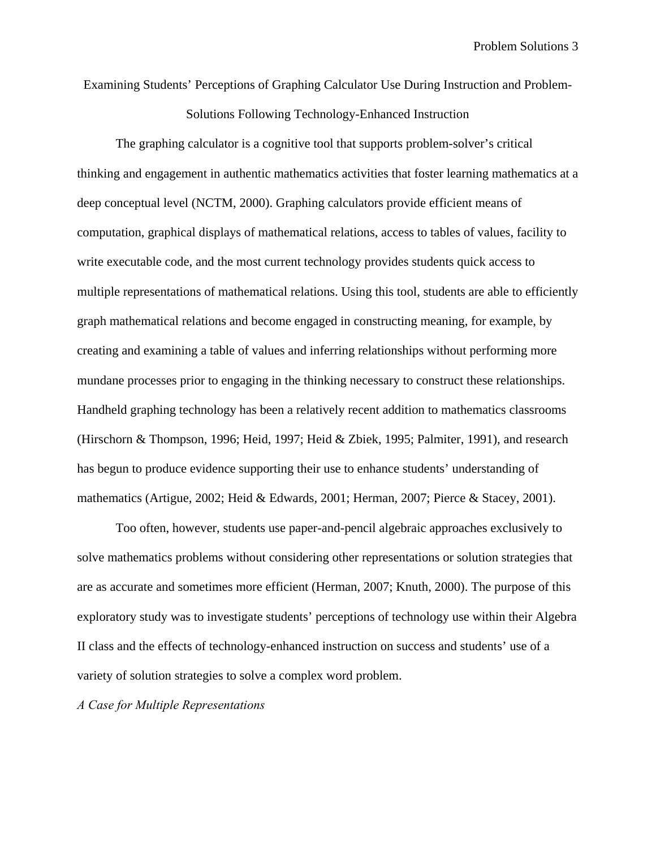Examining Students' Perceptions of Graphing Calculator Use During Instruction and Problem-

Solutions Following Technology-Enhanced Instruction

The graphing calculator is a cognitive tool that supports problem-solver's critical thinking and engagement in authentic mathematics activities that foster learning mathematics at a deep conceptual level (NCTM, 2000). Graphing calculators provide efficient means of computation, graphical displays of mathematical relations, access to tables of values, facility to write executable code, and the most current technology provides students quick access to multiple representations of mathematical relations. Using this tool, students are able to efficiently graph mathematical relations and become engaged in constructing meaning, for example, by creating and examining a table of values and inferring relationships without performing more mundane processes prior to engaging in the thinking necessary to construct these relationships. Handheld graphing technology has been a relatively recent addition to mathematics classrooms (Hirschorn & Thompson, 1996; Heid, 1997; Heid & Zbiek, 1995; Palmiter, 1991), and research has begun to produce evidence supporting their use to enhance students' understanding of mathematics (Artigue, 2002; Heid & Edwards, 2001; Herman, 2007; Pierce & Stacey, 2001).

Too often, however, students use paper-and-pencil algebraic approaches exclusively to solve mathematics problems without considering other representations or solution strategies that are as accurate and sometimes more efficient (Herman, 2007; Knuth, 2000). The purpose of this exploratory study was to investigate students' perceptions of technology use within their Algebra II class and the effects of technology-enhanced instruction on success and students' use of a variety of solution strategies to solve a complex word problem.

*A Case for Multiple Representations*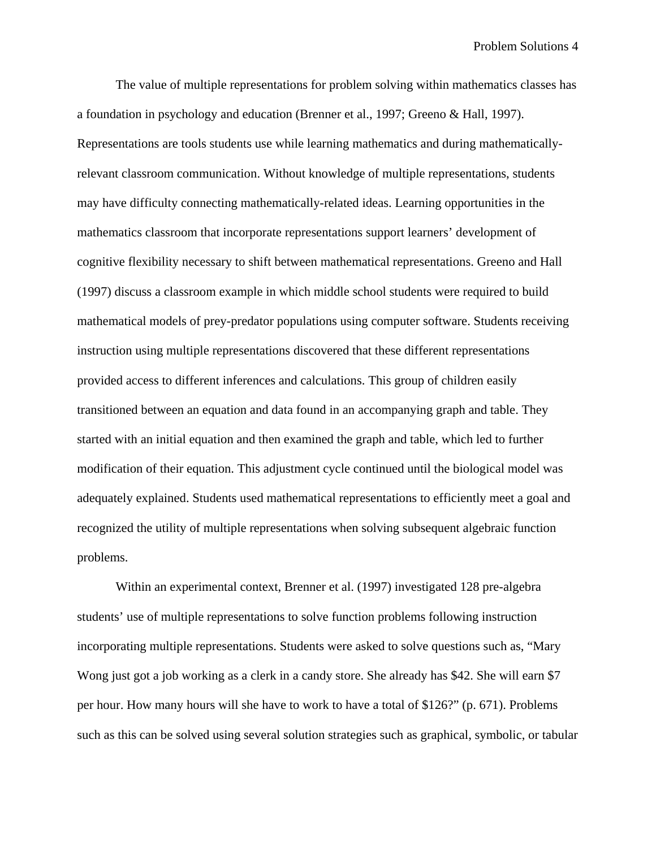The value of multiple representations for problem solving within mathematics classes has a foundation in psychology and education (Brenner et al., 1997; Greeno & Hall, 1997). Representations are tools students use while learning mathematics and during mathematicallyrelevant classroom communication. Without knowledge of multiple representations, students may have difficulty connecting mathematically-related ideas. Learning opportunities in the mathematics classroom that incorporate representations support learners' development of cognitive flexibility necessary to shift between mathematical representations. Greeno and Hall (1997) discuss a classroom example in which middle school students were required to build mathematical models of prey-predator populations using computer software. Students receiving instruction using multiple representations discovered that these different representations provided access to different inferences and calculations. This group of children easily transitioned between an equation and data found in an accompanying graph and table. They started with an initial equation and then examined the graph and table, which led to further modification of their equation. This adjustment cycle continued until the biological model was adequately explained. Students used mathematical representations to efficiently meet a goal and recognized the utility of multiple representations when solving subsequent algebraic function problems.

Within an experimental context, Brenner et al. (1997) investigated 128 pre-algebra students' use of multiple representations to solve function problems following instruction incorporating multiple representations. Students were asked to solve questions such as, "Mary Wong just got a job working as a clerk in a candy store. She already has \$42. She will earn \$7 per hour. How many hours will she have to work to have a total of \$126?" (p. 671). Problems such as this can be solved using several solution strategies such as graphical, symbolic, or tabular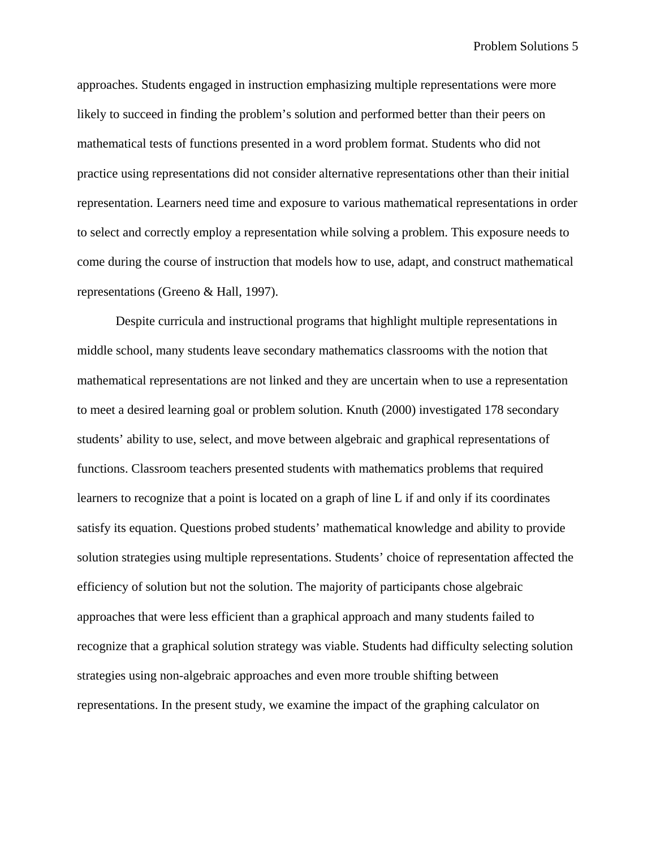approaches. Students engaged in instruction emphasizing multiple representations were more likely to succeed in finding the problem's solution and performed better than their peers on mathematical tests of functions presented in a word problem format. Students who did not practice using representations did not consider alternative representations other than their initial representation. Learners need time and exposure to various mathematical representations in order to select and correctly employ a representation while solving a problem. This exposure needs to come during the course of instruction that models how to use, adapt, and construct mathematical representations (Greeno & Hall, 1997).

Despite curricula and instructional programs that highlight multiple representations in middle school, many students leave secondary mathematics classrooms with the notion that mathematical representations are not linked and they are uncertain when to use a representation to meet a desired learning goal or problem solution. Knuth (2000) investigated 178 secondary students' ability to use, select, and move between algebraic and graphical representations of functions. Classroom teachers presented students with mathematics problems that required learners to recognize that a point is located on a graph of line L if and only if its coordinates satisfy its equation. Questions probed students' mathematical knowledge and ability to provide solution strategies using multiple representations. Students' choice of representation affected the efficiency of solution but not the solution. The majority of participants chose algebraic approaches that were less efficient than a graphical approach and many students failed to recognize that a graphical solution strategy was viable. Students had difficulty selecting solution strategies using non-algebraic approaches and even more trouble shifting between representations. In the present study, we examine the impact of the graphing calculator on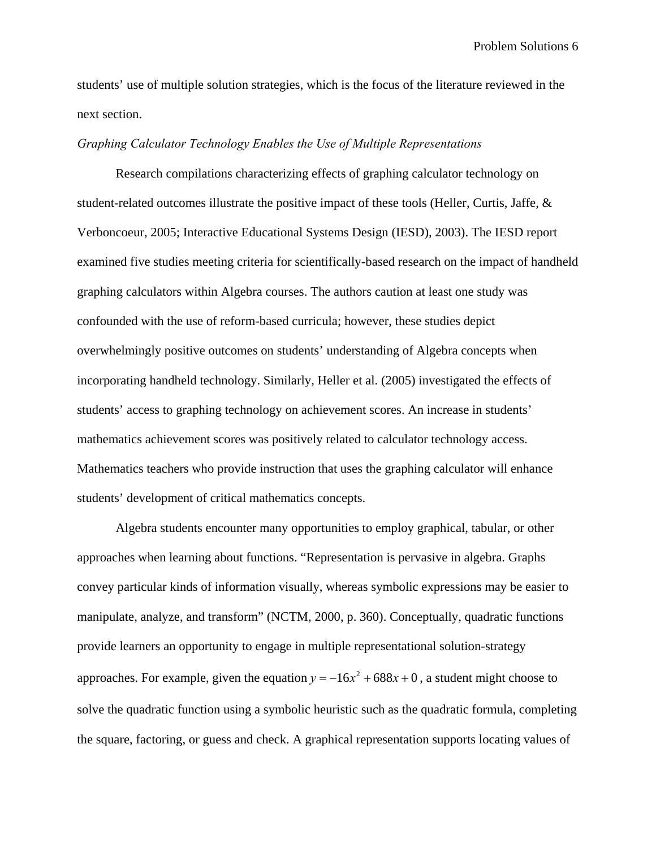students' use of multiple solution strategies, which is the focus of the literature reviewed in the next section.

## *Graphing Calculator Technology Enables the Use of Multiple Representations*

Research compilations characterizing effects of graphing calculator technology on student-related outcomes illustrate the positive impact of these tools (Heller, Curtis, Jaffe, & Verboncoeur, 2005; Interactive Educational Systems Design (IESD), 2003). The IESD report examined five studies meeting criteria for scientifically-based research on the impact of handheld graphing calculators within Algebra courses. The authors caution at least one study was confounded with the use of reform-based curricula; however, these studies depict overwhelmingly positive outcomes on students' understanding of Algebra concepts when incorporating handheld technology. Similarly, Heller et al. (2005) investigated the effects of students' access to graphing technology on achievement scores. An increase in students' mathematics achievement scores was positively related to calculator technology access. Mathematics teachers who provide instruction that uses the graphing calculator will enhance students' development of critical mathematics concepts.

Algebra students encounter many opportunities to employ graphical, tabular, or other approaches when learning about functions. "Representation is pervasive in algebra. Graphs convey particular kinds of information visually, whereas symbolic expressions may be easier to manipulate, analyze, and transform" (NCTM, 2000, p. 360). Conceptually, quadratic functions provide learners an opportunity to engage in multiple representational solution-strategy approaches. For example, given the equation  $y = -16x^2 + 688x + 0$ , a student might choose to solve the quadratic function using a symbolic heuristic such as the quadratic formula, completing the square, factoring, or guess and check. A graphical representation supports locating values of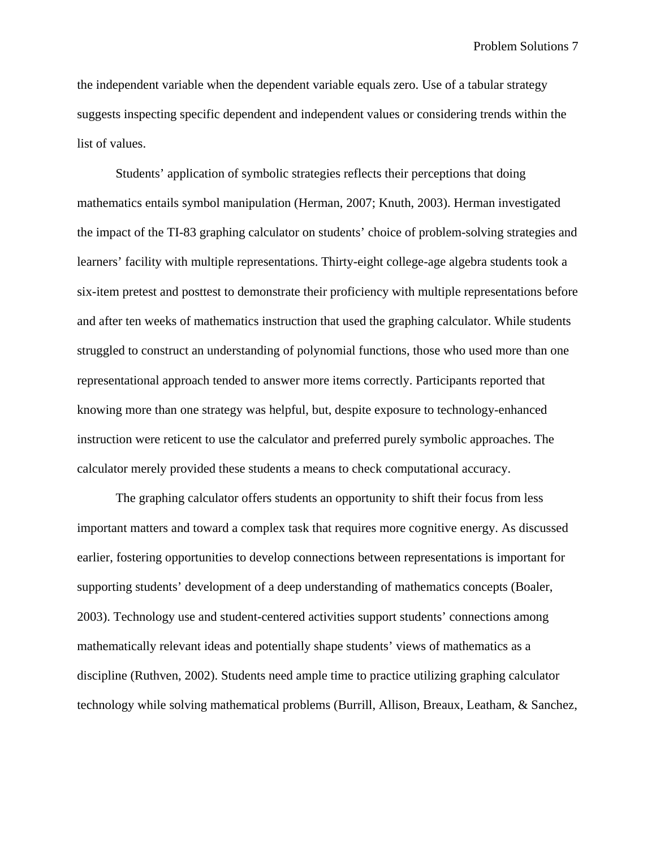Problem Solutions 7

the independent variable when the dependent variable equals zero. Use of a tabular strategy suggests inspecting specific dependent and independent values or considering trends within the list of values.

Students' application of symbolic strategies reflects their perceptions that doing mathematics entails symbol manipulation (Herman, 2007; Knuth, 2003). Herman investigated the impact of the TI-83 graphing calculator on students' choice of problem-solving strategies and learners' facility with multiple representations. Thirty-eight college-age algebra students took a six-item pretest and posttest to demonstrate their proficiency with multiple representations before and after ten weeks of mathematics instruction that used the graphing calculator. While students struggled to construct an understanding of polynomial functions, those who used more than one representational approach tended to answer more items correctly. Participants reported that knowing more than one strategy was helpful, but, despite exposure to technology-enhanced instruction were reticent to use the calculator and preferred purely symbolic approaches. The calculator merely provided these students a means to check computational accuracy.

The graphing calculator offers students an opportunity to shift their focus from less important matters and toward a complex task that requires more cognitive energy. As discussed earlier, fostering opportunities to develop connections between representations is important for supporting students' development of a deep understanding of mathematics concepts (Boaler, 2003). Technology use and student-centered activities support students' connections among mathematically relevant ideas and potentially shape students' views of mathematics as a discipline (Ruthven, 2002). Students need ample time to practice utilizing graphing calculator technology while solving mathematical problems (Burrill, Allison, Breaux, Leatham, & Sanchez,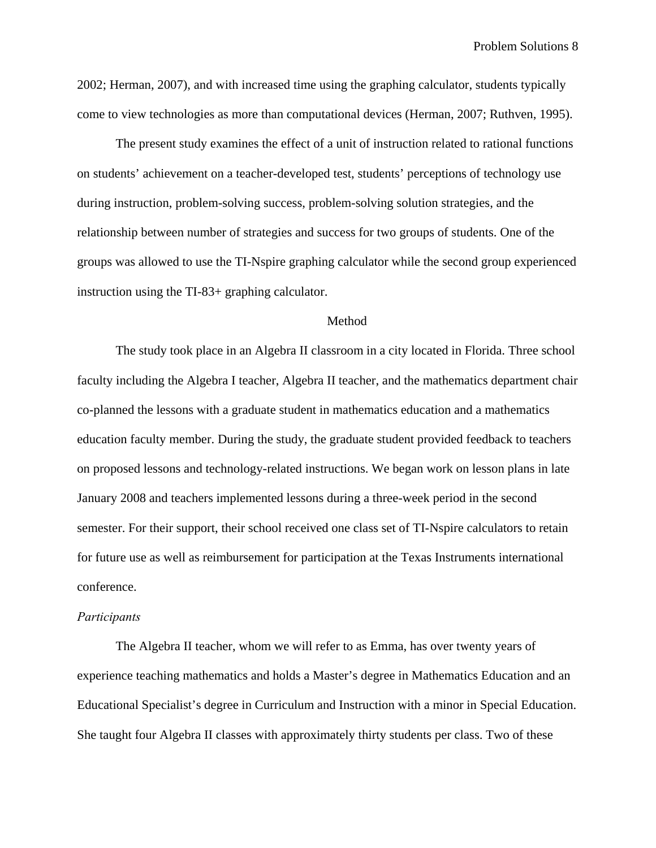2002; Herman, 2007), and with increased time using the graphing calculator, students typically come to view technologies as more than computational devices (Herman, 2007; Ruthven, 1995).

The present study examines the effect of a unit of instruction related to rational functions on students' achievement on a teacher-developed test, students' perceptions of technology use during instruction, problem-solving success, problem-solving solution strategies, and the relationship between number of strategies and success for two groups of students. One of the groups was allowed to use the TI-Nspire graphing calculator while the second group experienced instruction using the TI-83+ graphing calculator.

## Method

The study took place in an Algebra II classroom in a city located in Florida. Three school faculty including the Algebra I teacher, Algebra II teacher, and the mathematics department chair co-planned the lessons with a graduate student in mathematics education and a mathematics education faculty member. During the study, the graduate student provided feedback to teachers on proposed lessons and technology-related instructions. We began work on lesson plans in late January 2008 and teachers implemented lessons during a three-week period in the second semester. For their support, their school received one class set of TI-Nspire calculators to retain for future use as well as reimbursement for participation at the Texas Instruments international conference.

## *Participants*

The Algebra II teacher, whom we will refer to as Emma, has over twenty years of experience teaching mathematics and holds a Master's degree in Mathematics Education and an Educational Specialist's degree in Curriculum and Instruction with a minor in Special Education. She taught four Algebra II classes with approximately thirty students per class. Two of these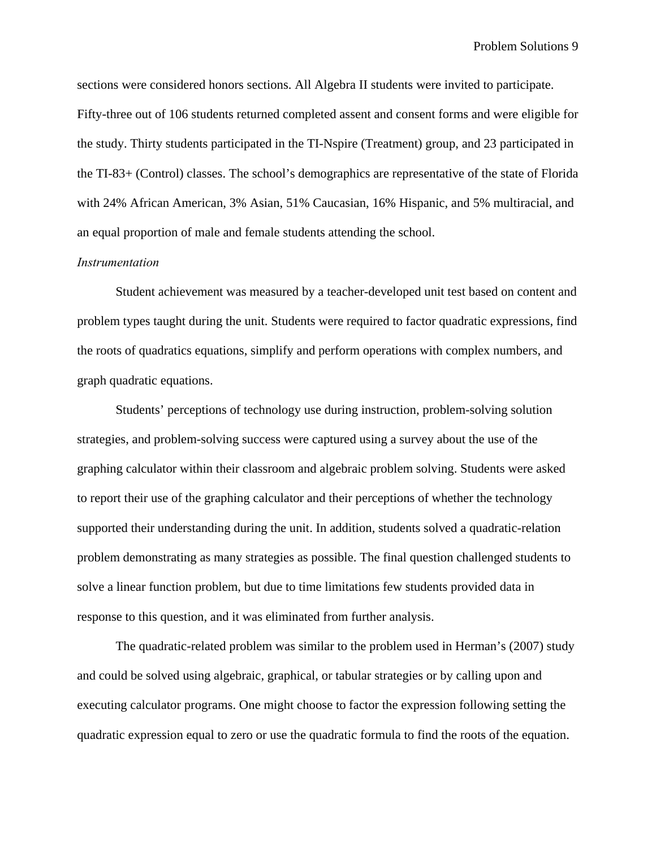Problem Solutions 9

sections were considered honors sections. All Algebra II students were invited to participate. Fifty-three out of 106 students returned completed assent and consent forms and were eligible for the study. Thirty students participated in the TI-Nspire (Treatment) group, and 23 participated in the TI-83+ (Control) classes. The school's demographics are representative of the state of Florida with 24% African American, 3% Asian, 51% Caucasian, 16% Hispanic, and 5% multiracial, and an equal proportion of male and female students attending the school.

# *Instrumentation*

Student achievement was measured by a teacher-developed unit test based on content and problem types taught during the unit. Students were required to factor quadratic expressions, find the roots of quadratics equations, simplify and perform operations with complex numbers, and graph quadratic equations.

Students' perceptions of technology use during instruction, problem-solving solution strategies, and problem-solving success were captured using a survey about the use of the graphing calculator within their classroom and algebraic problem solving. Students were asked to report their use of the graphing calculator and their perceptions of whether the technology supported their understanding during the unit. In addition, students solved a quadratic-relation problem demonstrating as many strategies as possible. The final question challenged students to solve a linear function problem, but due to time limitations few students provided data in response to this question, and it was eliminated from further analysis.

The quadratic-related problem was similar to the problem used in Herman's (2007) study and could be solved using algebraic, graphical, or tabular strategies or by calling upon and executing calculator programs. One might choose to factor the expression following setting the quadratic expression equal to zero or use the quadratic formula to find the roots of the equation.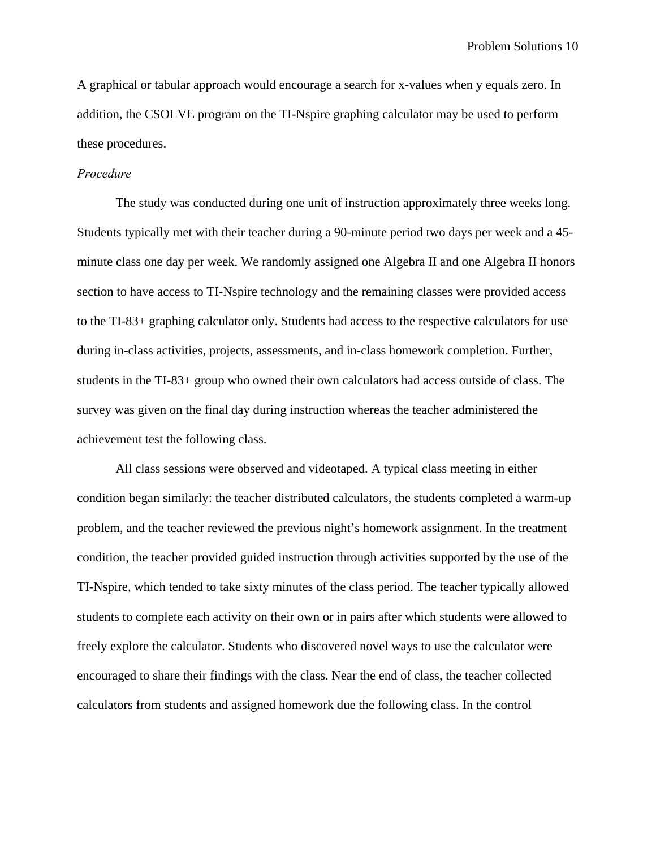A graphical or tabular approach would encourage a search for x-values when y equals zero. In addition, the CSOLVE program on the TI-Nspire graphing calculator may be used to perform these procedures.

# *Procedure*

The study was conducted during one unit of instruction approximately three weeks long. Students typically met with their teacher during a 90-minute period two days per week and a 45 minute class one day per week. We randomly assigned one Algebra II and one Algebra II honors section to have access to TI-Nspire technology and the remaining classes were provided access to the TI-83+ graphing calculator only. Students had access to the respective calculators for use during in-class activities, projects, assessments, and in-class homework completion. Further, students in the TI-83+ group who owned their own calculators had access outside of class. The survey was given on the final day during instruction whereas the teacher administered the achievement test the following class.

All class sessions were observed and videotaped. A typical class meeting in either condition began similarly: the teacher distributed calculators, the students completed a warm-up problem, and the teacher reviewed the previous night's homework assignment. In the treatment condition, the teacher provided guided instruction through activities supported by the use of the TI-Nspire, which tended to take sixty minutes of the class period. The teacher typically allowed students to complete each activity on their own or in pairs after which students were allowed to freely explore the calculator. Students who discovered novel ways to use the calculator were encouraged to share their findings with the class. Near the end of class, the teacher collected calculators from students and assigned homework due the following class. In the control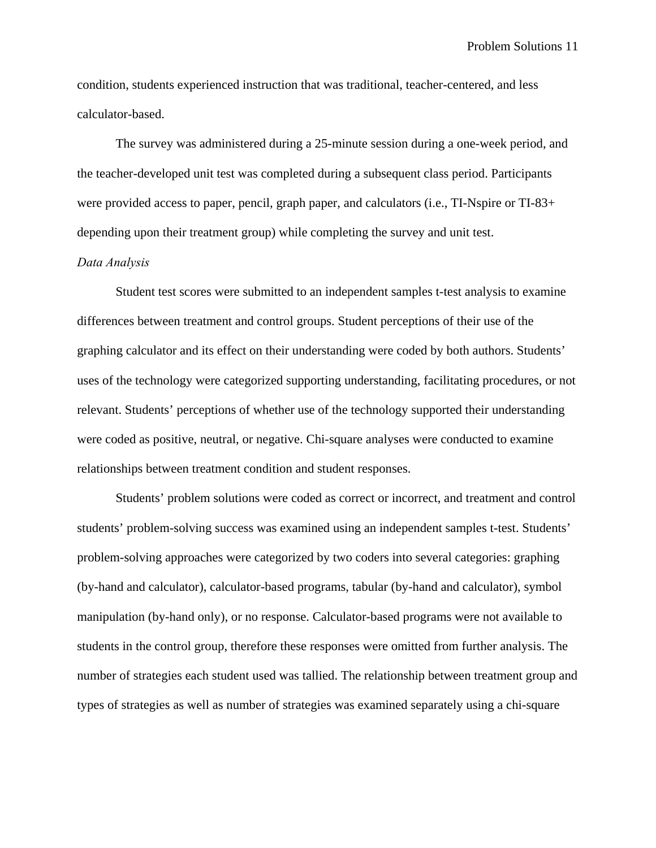condition, students experienced instruction that was traditional, teacher-centered, and less calculator-based.

The survey was administered during a 25-minute session during a one-week period, and the teacher-developed unit test was completed during a subsequent class period. Participants were provided access to paper, pencil, graph paper, and calculators (i.e., TI-Nspire or TI-83+ depending upon their treatment group) while completing the survey and unit test.

# *Data Analysis*

Student test scores were submitted to an independent samples t-test analysis to examine differences between treatment and control groups. Student perceptions of their use of the graphing calculator and its effect on their understanding were coded by both authors. Students' uses of the technology were categorized supporting understanding, facilitating procedures, or not relevant. Students' perceptions of whether use of the technology supported their understanding were coded as positive, neutral, or negative. Chi-square analyses were conducted to examine relationships between treatment condition and student responses.

Students' problem solutions were coded as correct or incorrect, and treatment and control students' problem-solving success was examined using an independent samples t-test. Students' problem-solving approaches were categorized by two coders into several categories: graphing (by-hand and calculator), calculator-based programs, tabular (by-hand and calculator), symbol manipulation (by-hand only), or no response. Calculator-based programs were not available to students in the control group, therefore these responses were omitted from further analysis. The number of strategies each student used was tallied. The relationship between treatment group and types of strategies as well as number of strategies was examined separately using a chi-square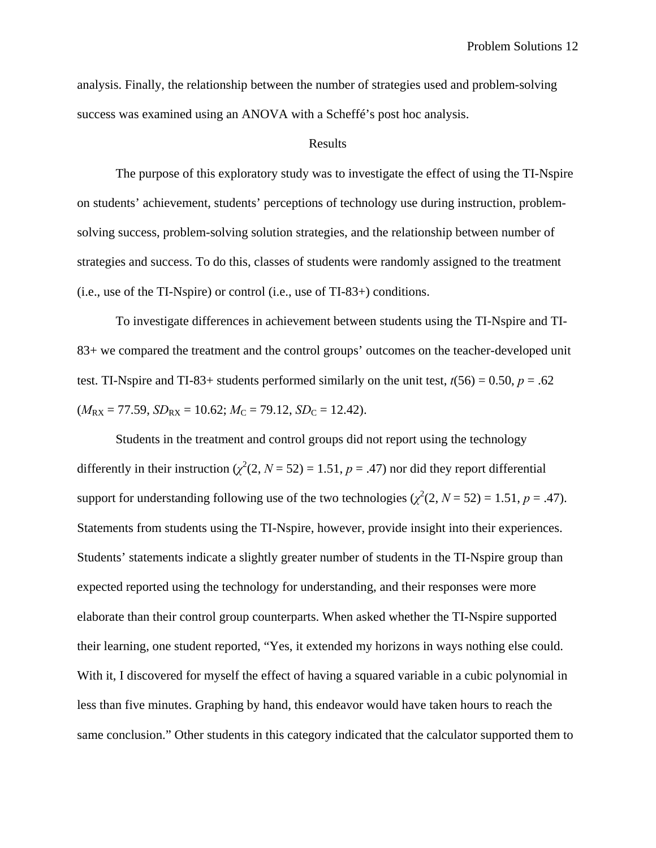analysis. Finally, the relationship between the number of strategies used and problem-solving success was examined using an ANOVA with a Scheffé's post hoc analysis.

#### Results

The purpose of this exploratory study was to investigate the effect of using the TI-Nspire on students' achievement, students' perceptions of technology use during instruction, problemsolving success, problem-solving solution strategies, and the relationship between number of strategies and success. To do this, classes of students were randomly assigned to the treatment (i.e., use of the TI-Nspire) or control (i.e., use of TI-83+) conditions.

To investigate differences in achievement between students using the TI-Nspire and TI-83+ we compared the treatment and the control groups' outcomes on the teacher-developed unit test. TI-Nspire and TI-83+ students performed similarly on the unit test,  $t(56) = 0.50$ ,  $p = .62$  $(M_{\text{RX}} = 77.59, SD_{\text{RX}} = 10.62; M_{\text{C}} = 79.12, SD_{\text{C}} = 12.42$ .

Students in the treatment and control groups did not report using the technology differently in their instruction  $(\chi^2(2, N = 52) = 1.51, p = .47)$  nor did they report differential support for understanding following use of the two technologies  $(\chi^2(2, N = 52) = 1.51, p = .47)$ . Statements from students using the TI-Nspire, however, provide insight into their experiences. Students' statements indicate a slightly greater number of students in the TI-Nspire group than expected reported using the technology for understanding, and their responses were more elaborate than their control group counterparts. When asked whether the TI-Nspire supported their learning, one student reported, "Yes, it extended my horizons in ways nothing else could. With it, I discovered for myself the effect of having a squared variable in a cubic polynomial in less than five minutes. Graphing by hand, this endeavor would have taken hours to reach the same conclusion." Other students in this category indicated that the calculator supported them to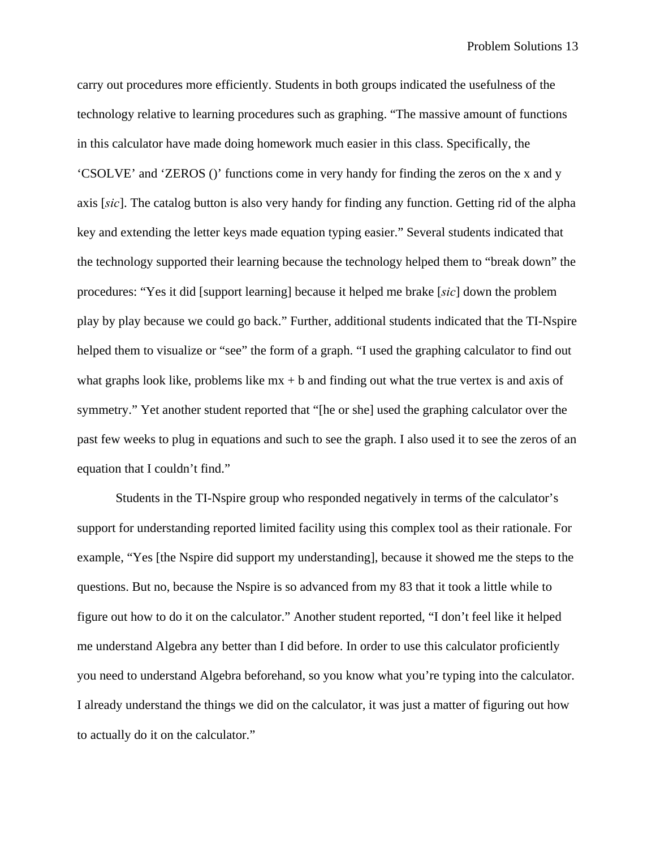carry out procedures more efficiently. Students in both groups indicated the usefulness of the technology relative to learning procedures such as graphing. "The massive amount of functions in this calculator have made doing homework much easier in this class. Specifically, the 'CSOLVE' and 'ZEROS ()' functions come in very handy for finding the zeros on the x and y axis [*sic*]. The catalog button is also very handy for finding any function. Getting rid of the alpha key and extending the letter keys made equation typing easier." Several students indicated that the technology supported their learning because the technology helped them to "break down" the procedures: "Yes it did [support learning] because it helped me brake [*sic*] down the problem play by play because we could go back." Further, additional students indicated that the TI-Nspire helped them to visualize or "see" the form of a graph. "I used the graphing calculator to find out what graphs look like, problems like  $mx + b$  and finding out what the true vertex is and axis of symmetry." Yet another student reported that "[he or she] used the graphing calculator over the past few weeks to plug in equations and such to see the graph. I also used it to see the zeros of an equation that I couldn't find."

Students in the TI-Nspire group who responded negatively in terms of the calculator's support for understanding reported limited facility using this complex tool as their rationale. For example, "Yes [the Nspire did support my understanding], because it showed me the steps to the questions. But no, because the Nspire is so advanced from my 83 that it took a little while to figure out how to do it on the calculator." Another student reported, "I don't feel like it helped me understand Algebra any better than I did before. In order to use this calculator proficiently you need to understand Algebra beforehand, so you know what you're typing into the calculator. I already understand the things we did on the calculator, it was just a matter of figuring out how to actually do it on the calculator."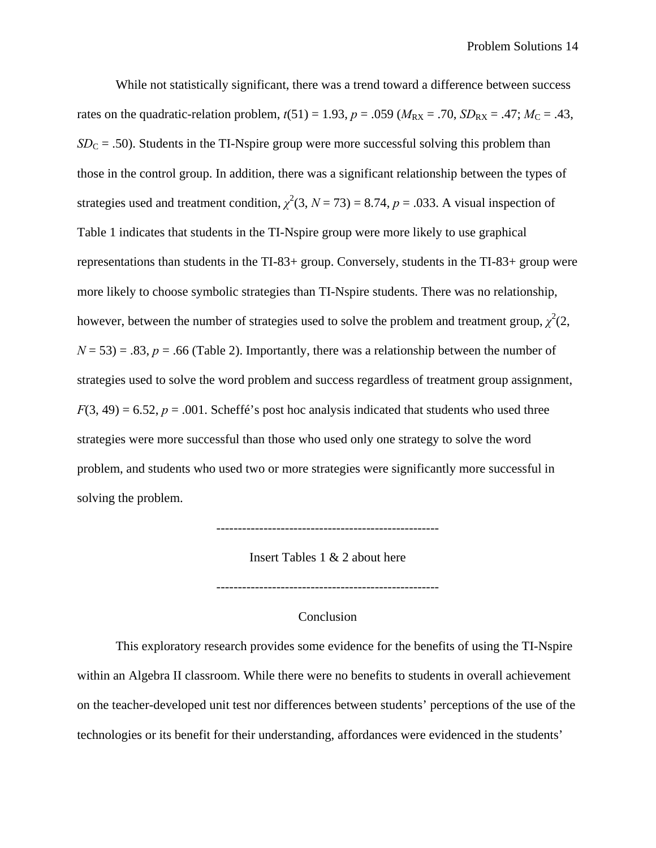While not statistically significant, there was a trend toward a difference between success rates on the quadratic-relation problem,  $t(51) = 1.93$ ,  $p = .059$  ( $M_{RX} = .70$ ,  $SD_{RX} = .47$ ;  $M_C = .43$ ,  $SD<sub>C</sub> = .50$ ). Students in the TI-Nspire group were more successful solving this problem than those in the control group. In addition, there was a significant relationship between the types of strategies used and treatment condition,  $\chi^2(3, N = 73) = 8.74$ ,  $p = .033$ . A visual inspection of Table 1 indicates that students in the TI-Nspire group were more likely to use graphical representations than students in the TI-83+ group. Conversely, students in the TI-83+ group were more likely to choose symbolic strategies than TI-Nspire students. There was no relationship, however, between the number of strategies used to solve the problem and treatment group,  $\chi^2(2, \mathbf{r})$  $N = 53$ ) = .83,  $p = .66$  (Table 2). Importantly, there was a relationship between the number of strategies used to solve the word problem and success regardless of treatment group assignment,  $F(3, 49) = 6.52$ ,  $p = .001$ . Scheffé's post hoc analysis indicated that students who used three strategies were more successful than those who used only one strategy to solve the word problem, and students who used two or more strategies were significantly more successful in solving the problem.

Insert Tables 1 & 2 about here

----------------------------------------------------

Conclusion

----------------------------------------------------

This exploratory research provides some evidence for the benefits of using the TI-Nspire within an Algebra II classroom. While there were no benefits to students in overall achievement on the teacher-developed unit test nor differences between students' perceptions of the use of the technologies or its benefit for their understanding, affordances were evidenced in the students'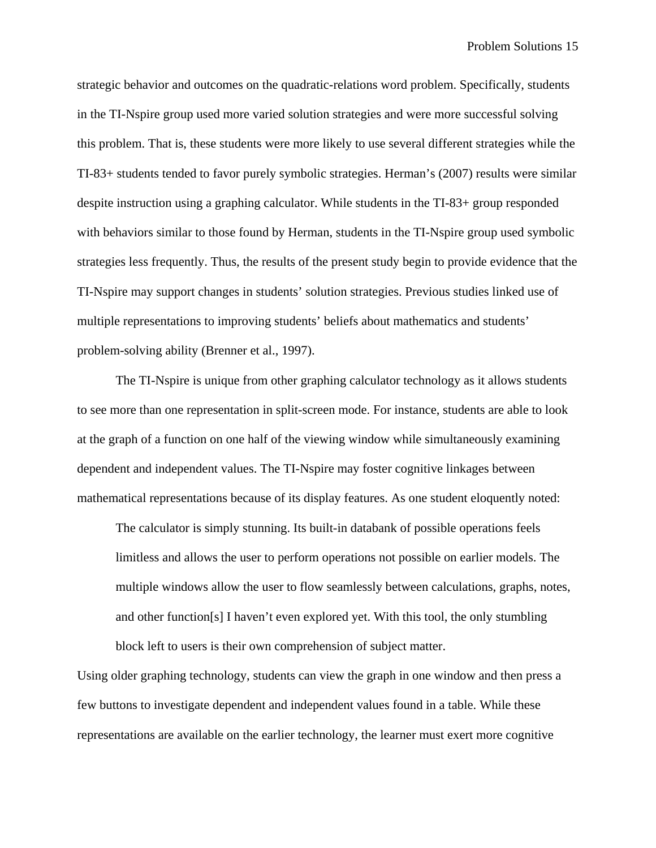strategic behavior and outcomes on the quadratic-relations word problem. Specifically, students in the TI-Nspire group used more varied solution strategies and were more successful solving this problem. That is, these students were more likely to use several different strategies while the TI-83+ students tended to favor purely symbolic strategies. Herman's (2007) results were similar despite instruction using a graphing calculator. While students in the TI-83+ group responded with behaviors similar to those found by Herman, students in the TI-Nspire group used symbolic strategies less frequently. Thus, the results of the present study begin to provide evidence that the TI-Nspire may support changes in students' solution strategies. Previous studies linked use of multiple representations to improving students' beliefs about mathematics and students' problem-solving ability (Brenner et al., 1997).

The TI-Nspire is unique from other graphing calculator technology as it allows students to see more than one representation in split-screen mode. For instance, students are able to look at the graph of a function on one half of the viewing window while simultaneously examining dependent and independent values. The TI-Nspire may foster cognitive linkages between mathematical representations because of its display features. As one student eloquently noted:

The calculator is simply stunning. Its built-in databank of possible operations feels limitless and allows the user to perform operations not possible on earlier models. The multiple windows allow the user to flow seamlessly between calculations, graphs, notes, and other function[s] I haven't even explored yet. With this tool, the only stumbling block left to users is their own comprehension of subject matter.

Using older graphing technology, students can view the graph in one window and then press a few buttons to investigate dependent and independent values found in a table. While these representations are available on the earlier technology, the learner must exert more cognitive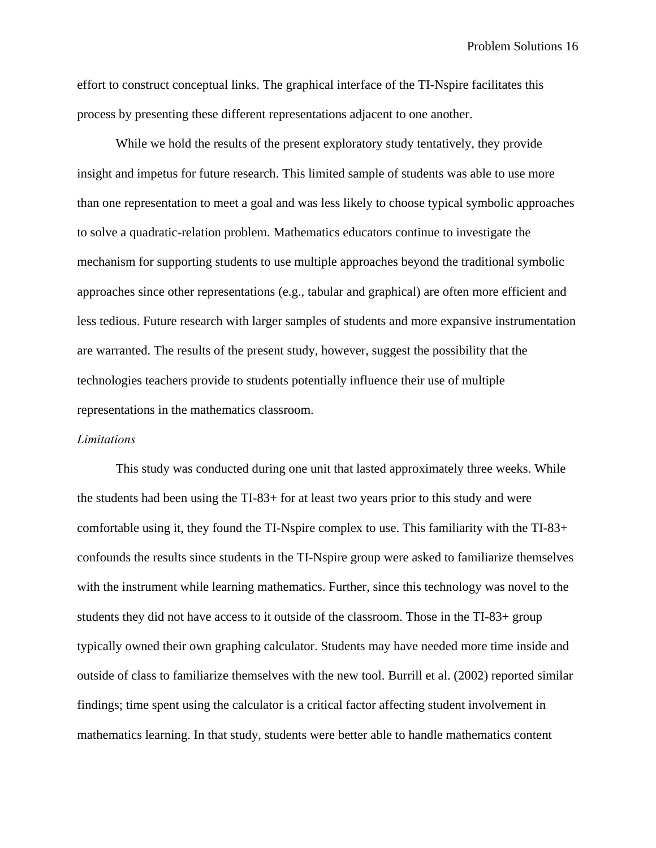effort to construct conceptual links. The graphical interface of the TI-Nspire facilitates this process by presenting these different representations adjacent to one another.

While we hold the results of the present exploratory study tentatively, they provide insight and impetus for future research. This limited sample of students was able to use more than one representation to meet a goal and was less likely to choose typical symbolic approaches to solve a quadratic-relation problem. Mathematics educators continue to investigate the mechanism for supporting students to use multiple approaches beyond the traditional symbolic approaches since other representations (e.g., tabular and graphical) are often more efficient and less tedious. Future research with larger samples of students and more expansive instrumentation are warranted. The results of the present study, however, suggest the possibility that the technologies teachers provide to students potentially influence their use of multiple representations in the mathematics classroom.

#### *Limitations*

This study was conducted during one unit that lasted approximately three weeks. While the students had been using the TI-83+ for at least two years prior to this study and were comfortable using it, they found the TI-Nspire complex to use. This familiarity with the TI-83+ confounds the results since students in the TI-Nspire group were asked to familiarize themselves with the instrument while learning mathematics. Further, since this technology was novel to the students they did not have access to it outside of the classroom. Those in the TI-83+ group typically owned their own graphing calculator. Students may have needed more time inside and outside of class to familiarize themselves with the new tool. Burrill et al. (2002) reported similar findings; time spent using the calculator is a critical factor affecting student involvement in mathematics learning. In that study, students were better able to handle mathematics content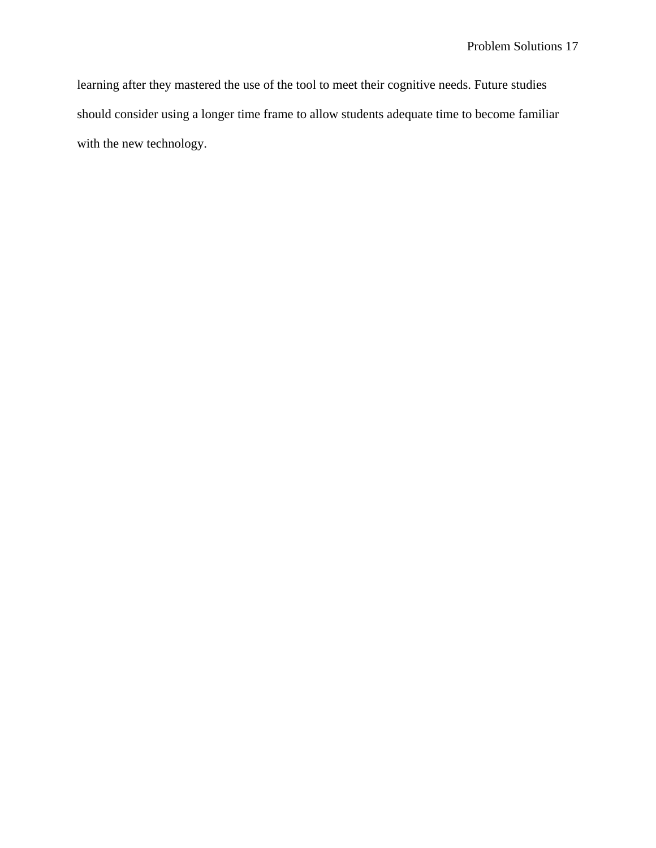learning after they mastered the use of the tool to meet their cognitive needs. Future studies should consider using a longer time frame to allow students adequate time to become familiar with the new technology.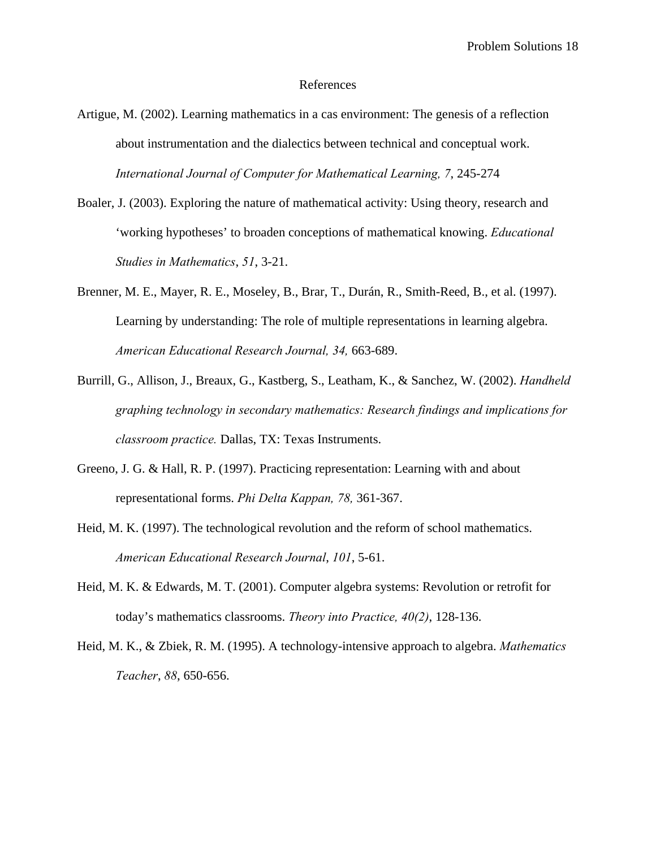#### References

- Artigue, M. (2002). Learning mathematics in a cas environment: The genesis of a reflection about instrumentation and the dialectics between technical and conceptual work. *International Journal of Computer for Mathematical Learning, 7*, 245-274
- Boaler, J. (2003). Exploring the nature of mathematical activity: Using theory, research and 'working hypotheses' to broaden conceptions of mathematical knowing. *Educational Studies in Mathematics*, *51*, 3-21.
- Brenner, M. E., Mayer, R. E., Moseley, B., Brar, T., Durán, R., Smith-Reed, B., et al. (1997). Learning by understanding: The role of multiple representations in learning algebra. *American Educational Research Journal, 34,* 663-689.
- Burrill, G., Allison, J., Breaux, G., Kastberg, S., Leatham, K., & Sanchez, W. (2002). *Handheld graphing technology in secondary mathematics: Research findings and implications for classroom practice.* Dallas, TX: Texas Instruments.
- Greeno, J. G. & Hall, R. P. (1997). Practicing representation: Learning with and about representational forms. *Phi Delta Kappan, 78,* 361-367.
- Heid, M. K. (1997). The technological revolution and the reform of school mathematics. *American Educational Research Journal*, *101*, 5-61.
- Heid, M. K. & Edwards, M. T. (2001). Computer algebra systems: Revolution or retrofit for today's mathematics classrooms. *Theory into Practice, 40(2)*, 128-136.
- Heid, M. K., & Zbiek, R. M. (1995). A technology-intensive approach to algebra. *Mathematics Teacher*, *88*, 650-656.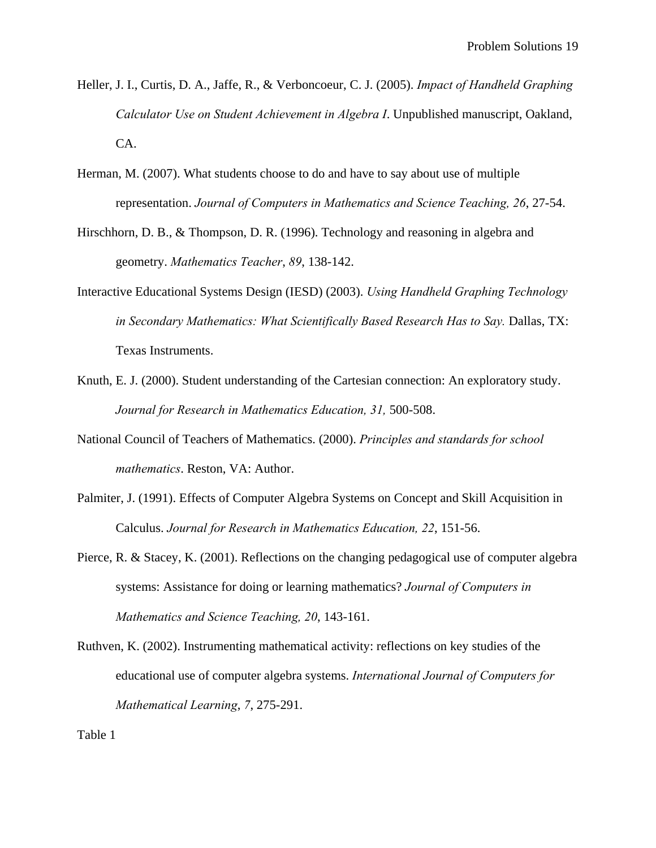- Heller, J. I., Curtis, D. A., Jaffe, R., & Verboncoeur, C. J. (2005). *Impact of Handheld Graphing Calculator Use on Student Achievement in Algebra I*. Unpublished manuscript, Oakland, CA.
- Herman, M. (2007). What students choose to do and have to say about use of multiple representation. *Journal of Computers in Mathematics and Science Teaching, 26*, 27-54.
- Hirschhorn, D. B., & Thompson, D. R. (1996). Technology and reasoning in algebra and geometry. *Mathematics Teacher*, *89*, 138-142.
- Interactive Educational Systems Design (IESD) (2003). *Using Handheld Graphing Technology*  in Secondary Mathematics: What Scientifically Based Research Has to Say. Dallas, TX: Texas Instruments.
- Knuth, E. J. (2000). Student understanding of the Cartesian connection: An exploratory study. *Journal for Research in Mathematics Education, 31,* 500-508.
- National Council of Teachers of Mathematics. (2000). *Principles and standards for school mathematics*. Reston, VA: Author.
- Palmiter, J. (1991). Effects of Computer Algebra Systems on Concept and Skill Acquisition in Calculus. *Journal for Research in Mathematics Education, 22*, 151-56.
- Pierce, R. & Stacey, K. (2001). Reflections on the changing pedagogical use of computer algebra systems: Assistance for doing or learning mathematics? *Journal of Computers in Mathematics and Science Teaching, 20*, 143-161.
- Ruthven, K. (2002). Instrumenting mathematical activity: reflections on key studies of the educational use of computer algebra systems. *International Journal of Computers for Mathematical Learning*, *7*, 275-291.

Table 1